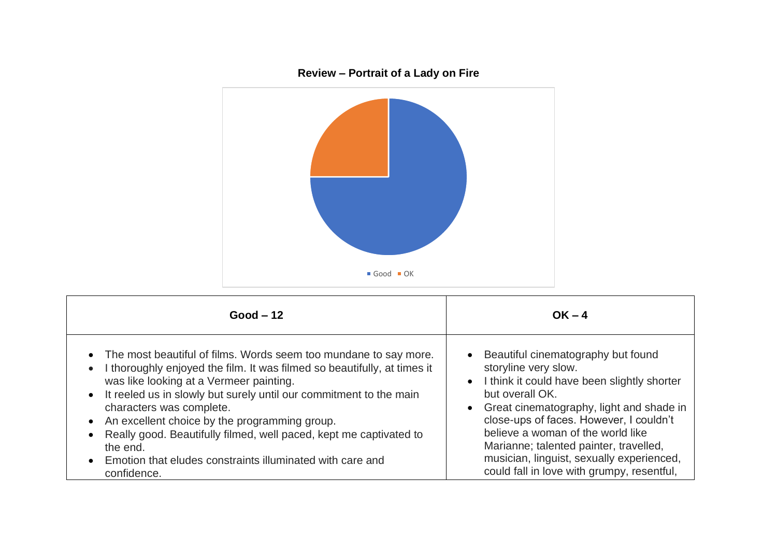

| $Good - 12$                                                              | $OK - 4$                                      |
|--------------------------------------------------------------------------|-----------------------------------------------|
| • The most beautiful of films. Words seem too mundane to say more.       | • Beautiful cinematography but found          |
| I thoroughly enjoyed the film. It was filmed so beautifully, at times it | storyline very slow.                          |
| was like looking at a Vermeer painting.                                  | • I think it could have been slightly shorter |
| • It reeled us in slowly but surely until our commitment to the main     | but overall OK.                               |
| characters was complete.                                                 | • Great cinematography, light and shade in    |
| • An excellent choice by the programming group.                          | close-ups of faces. However, I couldn't       |
| • Really good. Beautifully filmed, well paced, kept me captivated to     | believe a woman of the world like             |
| the end.                                                                 | Marianne; talented painter, travelled,        |
| • Emotion that eludes constraints illuminated with care and              | musician, linguist, sexually experienced,     |
| confidence.                                                              | could fall in love with grumpy, resentful,    |

## **Review – Portrait of a Lady on Fire**